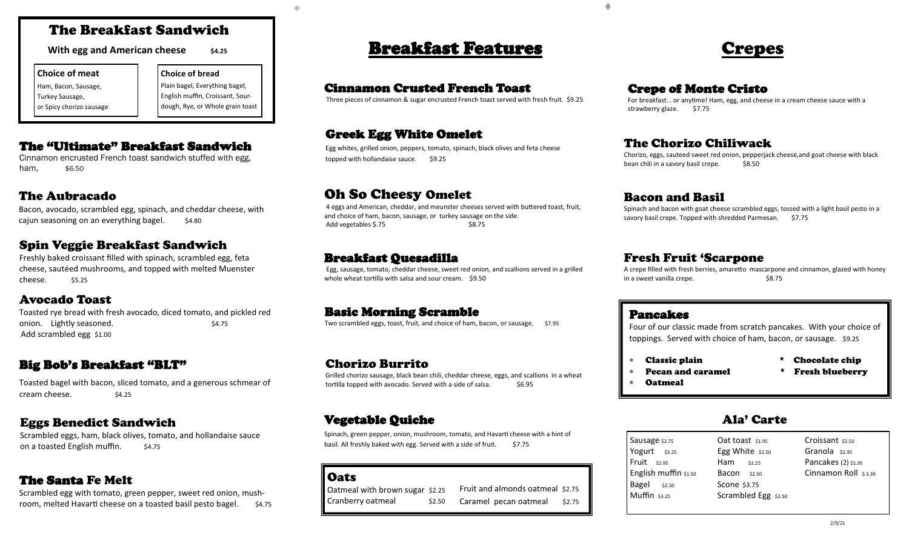## The Breakfast Sandwich

**With egg and American cheese**  $\frac{1}{2}$  \$4.25

#### **Choice of meat**

Ham, Bacon, Sausage, Turkey Sausage, or Spicy chorizo sausage **Choice of bread**  Plain bagel, Everything bagel, English muffin, Croissant, Sourdough, Rye, or Whole grain toast

#### The "Ultimate" Breakfast Sandwich

Cinnamon encrusted French toast sandwich stuffed with egg, ham. \$6.50

### The Aubracado

Bacon, avocado, scrambled egg, spinach, and cheddar cheese, with cajun seasoning on an everything bagel. \$4.80

### Spin Veggie Breakfast Sandwich

Freshly baked croissant filled with spinach, scrambled egg, feta cheese, sautéed mushrooms, and topped with melted Muenster cheese. \$5.25

#### Avocado Toast

Toasted rye bread with fresh avocado, diced tomato, and pickled red onion. Lightly seasoned.  $$4.75$ Add scrambled egg \$1.00

### Big Bob's Breakfast "BLT"

Toasted bagel with bacon, sliced tomato, and a generous schmear of cream cheese. \$4.25

### Eggs Benedict Sandwich

Scrambled eggs, ham, black olives, tomato, and hollandaise sauce on a toasted English muffin. \$4.75

### The Santa Fe Melt

Scrambled egg with tomato, green pepper, sweet red onion, mushroom, melted Havarti cheese on a toasted basil pesto bagel. \$4.75

## **Breakfast Features Crepes**

#### Cinnamon Crusted French Toast

Three pieces of cinnamon & sugar encrusted French toast served with fresh fruit. \$9.25

#### Greek Egg White Omelet

Egg whites, grilled onion, peppers, tomato, spinach, black olives and feta cheese topped with hollandaise sauce. \$9.25

## Oh So Cheesy Omelet

4 eggs and American, cheddar, and meunster cheeses served with buttered toast, fruit, and choice of ham, bacon, sausage, or turkey sausage on the side. Add vegetables \$.75 \$8.75

#### Breakfast Quesadilla

Egg, sausage, tomato, cheddar cheese, sweet red onion, and scallions served in a grilled whole wheat tortilla with salsa and sour cream. \$9.50

#### Basic Morning Scramble

Two scrambled eggs, toast, fruit, and choice of ham, bacon, or sausage, \$7.95

#### Chorizo Burrito

Grilled chorizo sausage, black bean chili, cheddar cheese, eggs, and scallions in a wheat tortilla topped with avocado. Served with a side of salsa.  $$6.95$ 

#### Vegetable Quiche Ala' Carte

Spinach, green pepper, onion, mushroom, tomato, and Havarti cheese with a hint of basil. All freshly baked with egg. Served with a side of fruit. \$7.75

**Oats** 

#### Oatmeal with brown sugar \$2.25 Cranberry oatmeal \$2.50 Fruit and almonds oatmeal \$2.75 Caramel pecan oatmeal \$2.75

#### Crepe of Monte Cristo

For breakfast… or anytime! Ham, egg, and cheese in a cream cheese sauce with a strawberry glaze. \$7.75

### The Chorizo Chiliwack

Chorizo, eggs, sauteed sweet red onion, pepperjack cheese,and goat cheese with black bean chili in a savory basil crepe. \$8.50

#### Bacon and Basil

Spinach and bacon with goat cheese scrambled eggs, tossed with a light basil pesto in a savory basil crepe. Topped with shredded Parmesan. \$7.75

#### Fresh Fruit 'Scarpone

A crepe filled with fresh berries, amaretto mascarpone and cinnamon, glazed with honey in a sweet vanilla crepe.  $$8.75$ 

#### Pancakes

Four of our classic made from scratch pancakes. With your choice of toppings. Served with choice of ham, bacon, or sausage. \$9.25

- 
- Classic plain \* Chocolate chip
	- Pecan and caramel \* Fresh blueberry
- 
- Oatmeal
	-

| Sausage \$2.75           | Oat toast \$1.95     | Croissant \$2.50     |
|--------------------------|----------------------|----------------------|
| Yogurt <sub>\$3.25</sub> | Egg White $$2.50$    | Granola s2.95        |
| $Fruit$ $$2.95$          | Ham<br>\$2.25        | Pancakes (2) \$1.95  |
| English muffin \$1.50    | Bacon \$2.50         | Cinnamon Roll \$3.39 |
| Bagel<br>\$2.50          | Scone \$3.75         |                      |
| Muffin \$3.25            | Scrambled Egg \$2.50 |                      |